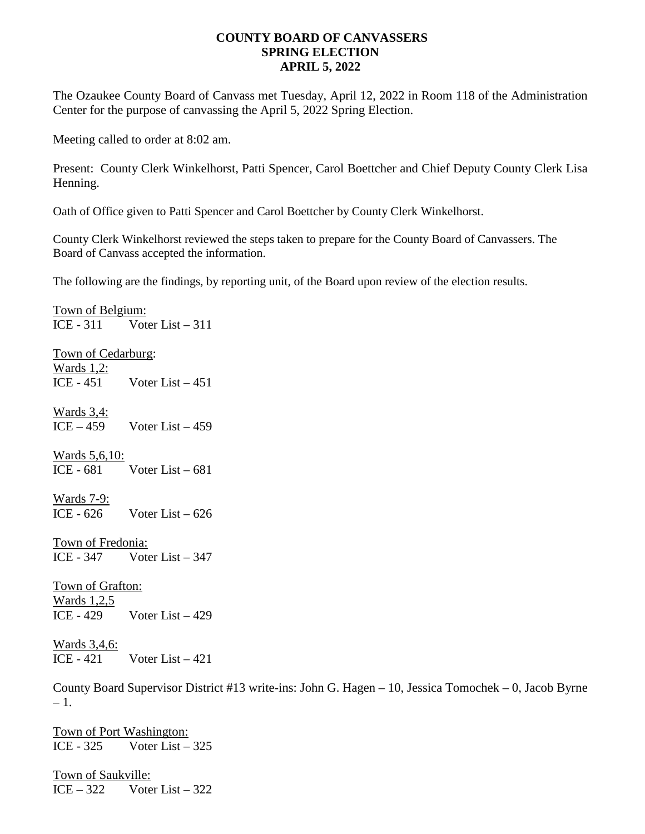## **COUNTY BOARD OF CANVASSERS SPRING ELECTION APRIL 5, 2022**

The Ozaukee County Board of Canvass met Tuesday, April 12, 2022 in Room 118 of the Administration Center for the purpose of canvassing the April 5, 2022 Spring Election.

Meeting called to order at 8:02 am.

Present: County Clerk Winkelhorst, Patti Spencer, Carol Boettcher and Chief Deputy County Clerk Lisa Henning.

Oath of Office given to Patti Spencer and Carol Boettcher by County Clerk Winkelhorst.

County Clerk Winkelhorst reviewed the steps taken to prepare for the County Board of Canvassers. The Board of Canvass accepted the information.

The following are the findings, by reporting unit, of the Board upon review of the election results.

Town of Belgium: ICE - 311 Voter List – 311 Town of Cedarburg: Wards 1,2: ICE -  $451$  Voter List  $-451$ Wards 3,4:  $ICE - 459$  Voter List  $-459$ Wards 5,6,10: ICE -  $681$  Voter List –  $681$ Wards 7-9: ICE -  $626$  Voter List –  $626$ Town of Fredonia: ICE - 347 Voter List – 347 Town of Grafton: Wards 1,2,5 ICE -  $429$  Voter List –  $429$ Wards 3,4,6: ICE -  $421$  Voter List  $-421$ 

County Board Supervisor District #13 write-ins: John G. Hagen – 10, Jessica Tomochek – 0, Jacob Byrne  $-1.$ 

Town of Port Washington: ICE -  $325$  Voter List –  $325$ 

Town of Saukville:  $ICE - 322$  Voter List – 322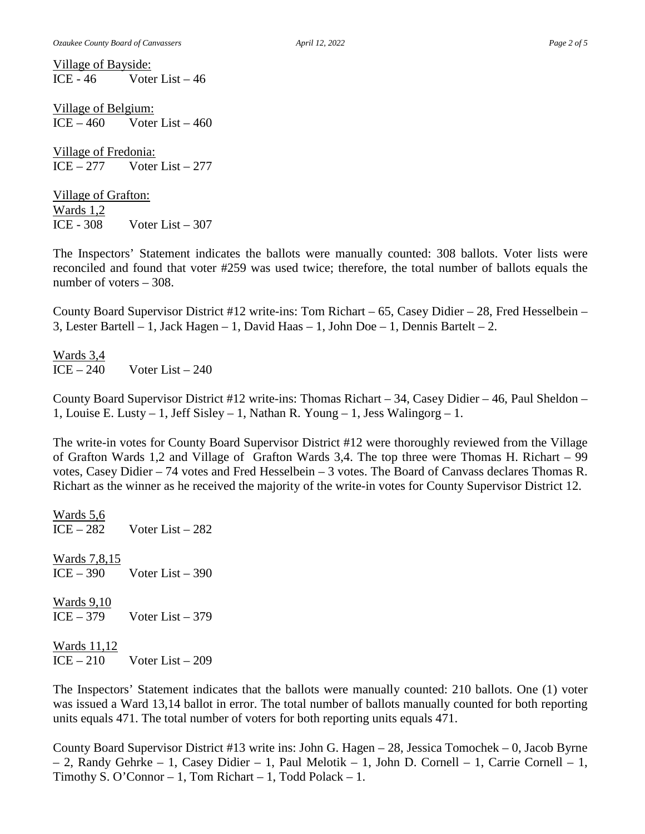Village of Bayside: ICE -  $46$  Voter List  $-46$ 

Village of Belgium:  $ICE - 460$  Voter List  $-460$ 

Village of Fredonia:  $ICE - 277$  Voter List – 277

Village of Grafton: Wards 1,2 ICE -  $308$  Voter List –  $307$ 

The Inspectors' Statement indicates the ballots were manually counted: 308 ballots. Voter lists were reconciled and found that voter #259 was used twice; therefore, the total number of ballots equals the number of voters – 308.

County Board Supervisor District #12 write-ins: Tom Richart – 65, Casey Didier – 28, Fred Hesselbein – 3, Lester Bartell – 1, Jack Hagen – 1, David Haas – 1, John Doe – 1, Dennis Bartelt – 2.

Wards 3,4  $ICE - 240$  Voter List – 240

County Board Supervisor District #12 write-ins: Thomas Richart – 34, Casey Didier – 46, Paul Sheldon – 1, Louise E. Lusty – 1, Jeff Sisley – 1, Nathan R. Young – 1, Jess Walingorg – 1.

The write-in votes for County Board Supervisor District #12 were thoroughly reviewed from the Village of Grafton Wards 1,2 and Village of Grafton Wards 3,4. The top three were Thomas H. Richart – 99 votes, Casey Didier – 74 votes and Fred Hesselbein – 3 votes. The Board of Canvass declares Thomas R. Richart as the winner as he received the majority of the write-in votes for County Supervisor District 12.

Wards 5,6  $ICE - 282$  Voter List  $-282$ Wards 7,8,15  $ICE - 390$  Voter List – 390 Wards 9,10  $ICE - 379$  Voter List – 379 Wards 11,12  $ICE - 210$  Voter List – 209

The Inspectors' Statement indicates that the ballots were manually counted: 210 ballots. One (1) voter was issued a Ward 13,14 ballot in error. The total number of ballots manually counted for both reporting units equals 471. The total number of voters for both reporting units equals 471.

County Board Supervisor District #13 write ins: John G. Hagen – 28, Jessica Tomochek – 0, Jacob Byrne – 2, Randy Gehrke – 1, Casey Didier – 1, Paul Melotik – 1, John D. Cornell – 1, Carrie Cornell – 1, Timothy S. O'Connor – 1, Tom Richart – 1, Todd Polack – 1.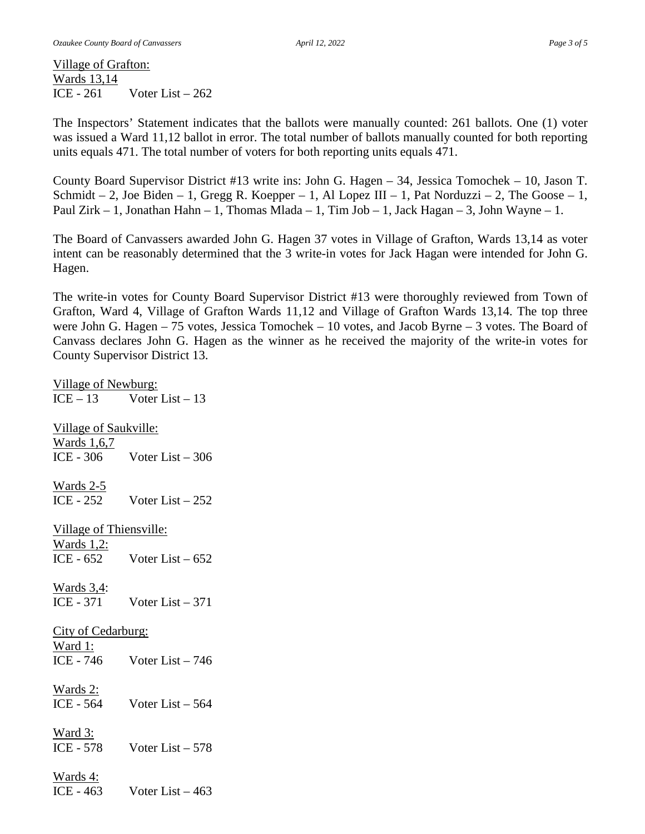Village of Grafton: Wards 13,14 ICE -  $261$  Voter List –  $262$ 

The Inspectors' Statement indicates that the ballots were manually counted: 261 ballots. One (1) voter was issued a Ward 11,12 ballot in error. The total number of ballots manually counted for both reporting units equals 471. The total number of voters for both reporting units equals 471.

County Board Supervisor District #13 write ins: John G. Hagen – 34, Jessica Tomochek – 10, Jason T. Schmidt – 2, Joe Biden – 1, Gregg R. Koepper – 1, Al Lopez III – 1, Pat Norduzzi – 2, The Goose – 1, Paul Zirk – 1, Jonathan Hahn – 1, Thomas Mlada – 1, Tim Job – 1, Jack Hagan – 3, John Wayne – 1.

The Board of Canvassers awarded John G. Hagen 37 votes in Village of Grafton, Wards 13,14 as voter intent can be reasonably determined that the 3 write-in votes for Jack Hagan were intended for John G. Hagen.

The write-in votes for County Board Supervisor District #13 were thoroughly reviewed from Town of Grafton, Ward 4, Village of Grafton Wards 11,12 and Village of Grafton Wards 13,14. The top three were John G. Hagen – 75 votes, Jessica Tomochek – 10 votes, and Jacob Byrne – 3 votes. The Board of Canvass declares John G. Hagen as the winner as he received the majority of the write-in votes for County Supervisor District 13.

Village of Newburg:  $ICE - 13$  Voter List – 13 Village of Saukville: Wards 1,6,7 ICE -  $306$  Voter List –  $306$ Wards 2-5 ICE - 252 Voter List – 252 Village of Thiensville: Wards 1,2: ICE -  $652$  Voter List –  $652$ Wards 3,4: ICE - 371 Voter List – 371 City of Cedarburg: Ward 1: ICE - 746 Voter List – 746 Wards 2: ICE - 564 Voter List – 564 Ward 3: ICE - 578 Voter List – 578 Wards 4: ICE -  $463$  Voter List –  $463$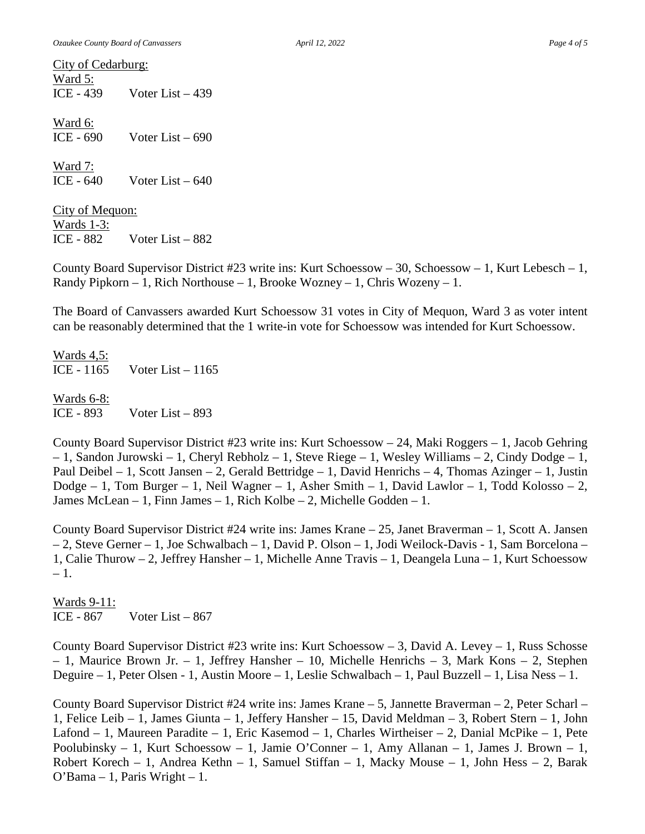City of Cedarburg: Ward 5: ICE -  $439$  Voter List –  $439$ 

Ward 6: ICE -  $690$  Voter List –  $690$ 

Ward 7: ICE -  $640$  Voter List –  $640$ 

City of Mequon: Wards 1-3: ICE -  $882$  Voter List –  $882$ 

County Board Supervisor District #23 write ins: Kurt Schoessow – 30, Schoessow – 1, Kurt Lebesch – 1, Randy Pipkorn – 1, Rich Northouse – 1, Brooke Wozney – 1, Chris Wozeny – 1.

The Board of Canvassers awarded Kurt Schoessow 31 votes in City of Mequon, Ward 3 as voter intent can be reasonably determined that the 1 write-in vote for Schoessow was intended for Kurt Schoessow.

Wards 4,5: ICE - 1165 Voter List – 1165

Wards 6-8: ICE - 893 Voter List – 893

County Board Supervisor District #23 write ins: Kurt Schoessow – 24, Maki Roggers – 1, Jacob Gehring – 1, Sandon Jurowski – 1, Cheryl Rebholz – 1, Steve Riege – 1, Wesley Williams – 2, Cindy Dodge – 1, Paul Deibel – 1, Scott Jansen – 2, Gerald Bettridge – 1, David Henrichs – 4, Thomas Azinger – 1, Justin Dodge – 1, Tom Burger – 1, Neil Wagner – 1, Asher Smith – 1, David Lawlor – 1, Todd Kolosso – 2, James McLean – 1, Finn James – 1, Rich Kolbe – 2, Michelle Godden – 1.

County Board Supervisor District #24 write ins: James Krane – 25, Janet Braverman – 1, Scott A. Jansen – 2, Steve Gerner – 1, Joe Schwalbach – 1, David P. Olson – 1, Jodi Weilock-Davis - 1, Sam Borcelona – 1, Calie Thurow – 2, Jeffrey Hansher – 1, Michelle Anne Travis – 1, Deangela Luna – 1, Kurt Schoessow – 1.

Wards 9-11: ICE -  $867$  Voter List –  $867$ 

County Board Supervisor District #23 write ins: Kurt Schoessow – 3, David A. Levey – 1, Russ Schosse – 1, Maurice Brown Jr. – 1, Jeffrey Hansher – 10, Michelle Henrichs – 3, Mark Kons – 2, Stephen Deguire – 1, Peter Olsen - 1, Austin Moore – 1, Leslie Schwalbach – 1, Paul Buzzell – 1, Lisa Ness – 1.

County Board Supervisor District #24 write ins: James Krane – 5, Jannette Braverman – 2, Peter Scharl – 1, Felice Leib – 1, James Giunta – 1, Jeffery Hansher – 15, David Meldman – 3, Robert Stern – 1, John Lafond – 1, Maureen Paradite – 1, Eric Kasemod – 1, Charles Wirtheiser – 2, Danial McPike – 1, Pete Poolubinsky – 1, Kurt Schoessow – 1, Jamie O'Conner – 1, Amy Allanan – 1, James J. Brown – 1, Robert Korech – 1, Andrea Kethn – 1, Samuel Stiffan – 1, Macky Mouse – 1, John Hess – 2, Barak O'Bama – 1, Paris Wright – 1.